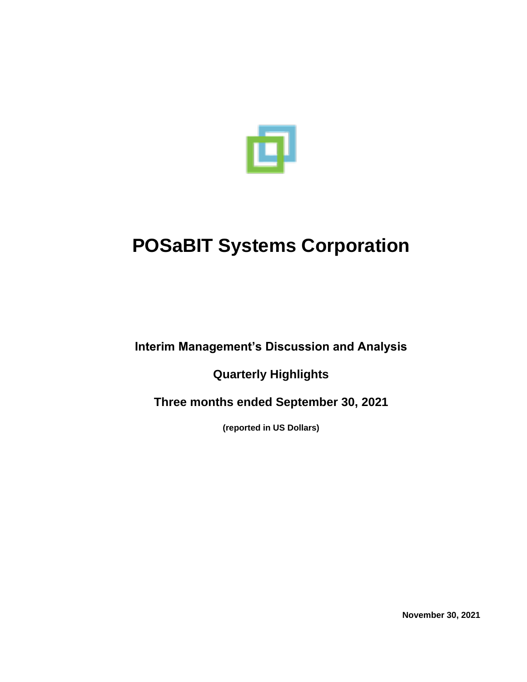

**Interim Management's Discussion and Analysis**

**Quarterly Highlights**

**Three months ended September 30, 2021**

**(reported in US Dollars)**

**November 30, 2021**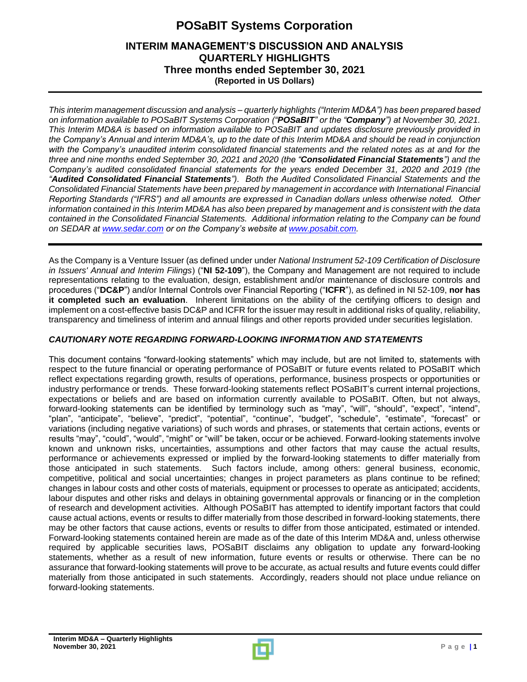#### **INTERIM MANAGEMENT'S DISCUSSION AND ANALYSIS QUARTERLY HIGHLIGHTS Three months ended September 30, 2021 (Reported in US Dollars)**

*This interim management discussion and analysis – quarterly highlights ("Interim MD&A") has been prepared based on information available to POSaBIT Systems Corporation ("POSaBIT" or the "Company") at November 30, 2021. This Interim MD&A is based on information available to POSaBIT and updates disclosure previously provided in the Company's Annual and interim MD&A's, up to the date of this Interim MD&A and should be read in conjunction with the Company's unaudited interim consolidated financial statements and the related notes as at and for the three and nine months ended September 30, 2021 and 2020 (the "Consolidated Financial Statements") and the Company's audited consolidated financial statements for the years ended December 31, 2020 and 2019 (the "Audited Consolidated Financial Statements"). Both the Audited Consolidated Financial Statements and the Consolidated Financial Statements have been prepared by management in accordance with International Financial Reporting Standards ("IFRS") and all amounts are expressed in Canadian dollars unless otherwise noted. Other information contained in this Interim MD&A has also been prepared by management and is consistent with the data contained in the Consolidated Financial Statements. Additional information relating to the Company can be found on SEDAR at [www.sedar.com](http://www.sedar.com/) or on the Company's website at [www.posabit.com.](http://www.posabit.com/)*

As the Company is a Venture Issuer (as defined under under *National Instrument 52-109 Certification of Disclosure in Issuers' Annual and Interim Filings*) ("**NI 52-109**"), the Company and Management are not required to include representations relating to the evaluation, design, establishment and/or maintenance of disclosure controls and procedures ("**DC&P**") and/or Internal Controls over Financial Reporting ("**ICFR**"), as defined in NI 52-109, **nor has it completed such an evaluation**. Inherent limitations on the ability of the certifying officers to design and implement on a cost-effective basis DC&P and ICFR for the issuer may result in additional risks of quality, reliability, transparency and timeliness of interim and annual filings and other reports provided under securities legislation.

#### *CAUTIONARY NOTE REGARDING FORWARD-LOOKING INFORMATION AND STATEMENTS*

This document contains "forward-looking statements" which may include, but are not limited to, statements with respect to the future financial or operating performance of POSaBIT or future events related to POSaBIT which reflect expectations regarding growth, results of operations, performance, business prospects or opportunities or industry performance or trends. These forward-looking statements reflect POSaBIT's current internal projections, expectations or beliefs and are based on information currently available to POSaBIT. Often, but not always, forward-looking statements can be identified by terminology such as "may", "will", "should", "expect", "intend", "plan", "anticipate", "believe", "predict", "potential", "continue", "budget", "schedule", "estimate", "forecast" or variations (including negative variations) of such words and phrases, or statements that certain actions, events or results "may", "could", "would", "might" or "will" be taken, occur or be achieved. Forward-looking statements involve known and unknown risks, uncertainties, assumptions and other factors that may cause the actual results, performance or achievements expressed or implied by the forward-looking statements to differ materially from those anticipated in such statements. Such factors include, among others: general business, economic, competitive, political and social uncertainties; changes in project parameters as plans continue to be refined; changes in labour costs and other costs of materials, equipment or processes to operate as anticipated; accidents, labour disputes and other risks and delays in obtaining governmental approvals or financing or in the completion of research and development activities. Although POSaBIT has attempted to identify important factors that could cause actual actions, events or results to differ materially from those described in forward-looking statements, there may be other factors that cause actions, events or results to differ from those anticipated, estimated or intended. Forward-looking statements contained herein are made as of the date of this Interim MD&A and, unless otherwise required by applicable securities laws, POSaBIT disclaims any obligation to update any forward-looking statements, whether as a result of new information, future events or results or otherwise. There can be no assurance that forward-looking statements will prove to be accurate, as actual results and future events could differ materially from those anticipated in such statements. Accordingly, readers should not place undue reliance on forward-looking statements.

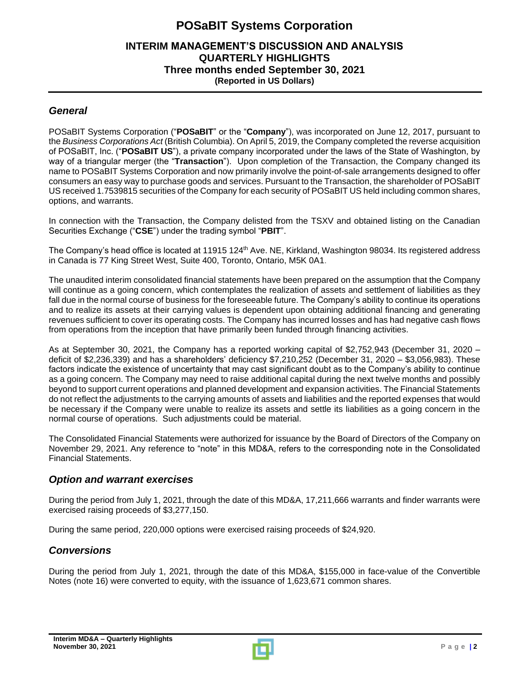### **INTERIM MANAGEMENT'S DISCUSSION AND ANALYSIS QUARTERLY HIGHLIGHTS Three months ended September 30, 2021 (Reported in US Dollars)**

#### *General*

POSaBIT Systems Corporation ("**POSaBIT**" or the "**Company**"), was incorporated on June 12, 2017, pursuant to the *Business Corporations Act* (British Columbia). On April 5, 2019, the Company completed the reverse acquisition of POSaBIT, Inc. ("**POSaBIT US**"), a private company incorporated under the laws of the State of Washington, by way of a triangular merger (the "**Transaction**"). Upon completion of the Transaction, the Company changed its name to POSaBIT Systems Corporation and now primarily involve the point-of-sale arrangements designed to offer consumers an easy way to purchase goods and services. Pursuant to the Transaction, the shareholder of POSaBIT US received 1.7539815 securities of the Company for each security of POSaBIT US held including common shares, options, and warrants.

In connection with the Transaction, the Company delisted from the TSXV and obtained listing on the Canadian Securities Exchange ("**CSE**") under the trading symbol "**PBIT**".

The Company's head office is located at 11915 124<sup>th</sup> Ave. NE, Kirkland, Washington 98034. Its registered address in Canada is 77 King Street West, Suite 400, Toronto, Ontario, M5K 0A1.

The unaudited interim consolidated financial statements have been prepared on the assumption that the Company will continue as a going concern, which contemplates the realization of assets and settlement of liabilities as they fall due in the normal course of business for the foreseeable future. The Company's ability to continue its operations and to realize its assets at their carrying values is dependent upon obtaining additional financing and generating revenues sufficient to cover its operating costs. The Company has incurred losses and has had negative cash flows from operations from the inception that have primarily been funded through financing activities.

As at September 30, 2021, the Company has a reported working capital of \$2,752,943 (December 31, 2020 – deficit of \$2,236,339) and has a shareholders' deficiency \$7,210,252 (December 31, 2020 – \$3,056,983). These factors indicate the existence of uncertainty that may cast significant doubt as to the Company's ability to continue as a going concern. The Company may need to raise additional capital during the next twelve months and possibly beyond to support current operations and planned development and expansion activities. The Financial Statements do not reflect the adjustments to the carrying amounts of assets and liabilities and the reported expenses that would be necessary if the Company were unable to realize its assets and settle its liabilities as a going concern in the normal course of operations. Such adjustments could be material.

The Consolidated Financial Statements were authorized for issuance by the Board of Directors of the Company on November 29, 2021. Any reference to "note" in this MD&A, refers to the corresponding note in the Consolidated Financial Statements.

### *Option and warrant exercises*

During the period from July 1, 2021, through the date of this MD&A, 17,211,666 warrants and finder warrants were exercised raising proceeds of \$3,277,150.

During the same period, 220,000 options were exercised raising proceeds of \$24,920.

### *Conversions*

During the period from July 1, 2021, through the date of this MD&A, \$155,000 in face-value of the Convertible Notes (note 16) were converted to equity, with the issuance of 1,623,671 common shares.

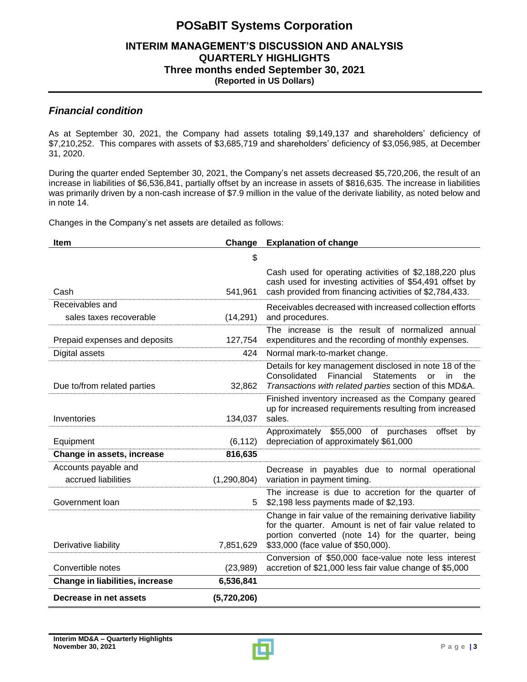#### **INTERIM MANAGEMENT'S DISCUSSION AND ANALYSIS QUARTERLY HIGHLIGHTS Three months ended September 30, 2021 (Reported in US Dollars)**

#### *Financial condition*

As at September 30, 2021, the Company had assets totaling \$9,149,137 and shareholders' deficiency of \$7,210,252. This compares with assets of \$3,685,719 and shareholders' deficiency of \$3,056,985, at December 31, 2020.

During the quarter ended September 30, 2021, the Company's net assets decreased \$5,720,206, the result of an increase in liabilities of \$6,536,841, partially offset by an increase in assets of \$816,635. The increase in liabilities was primarily driven by a non-cash increase of \$7.9 million in the value of the derivate liability, as noted below and in note 14.

Changes in the Company's net assets are detailed as follows:

| Item                                        |               | <b>Change</b> Explanation of change                                                                                                                                                                               |
|---------------------------------------------|---------------|-------------------------------------------------------------------------------------------------------------------------------------------------------------------------------------------------------------------|
|                                             | \$            |                                                                                                                                                                                                                   |
| Cash                                        | 541,961       | Cash used for operating activities of \$2,188,220 plus<br>cash used for investing activities of \$54,491 offset by<br>cash provided from financing activities of \$2,784,433.                                     |
| Receivables and<br>sales taxes recoverable  | (14, 291)     | Receivables decreased with increased collection efforts<br>and procedures.                                                                                                                                        |
| Prepaid expenses and deposits               | 127,754       | The increase is the result of normalized annual<br>expenditures and the recording of monthly expenses.                                                                                                            |
| Digital assets                              | 424           | Normal mark-to-market change.                                                                                                                                                                                     |
| Due to/from related parties                 | 32,862        | Details for key management disclosed in note 18 of the<br>Financial<br>Consolidated<br><b>Statements</b><br>the<br>in<br>or<br>Transactions with related parties section of this MD&A.                            |
| Inventories                                 | 134,037       | Finished inventory increased as the Company geared<br>up for increased requirements resulting from increased<br>sales.                                                                                            |
| Equipment                                   | (6, 112)      | Approximately \$55,000 of purchases<br>offset<br>by<br>depreciation of approximately \$61,000                                                                                                                     |
| Change in assets, increase                  | 816,635       |                                                                                                                                                                                                                   |
| Accounts payable and<br>accrued liabilities | (1, 290, 804) | Decrease in payables due to normal operational<br>variation in payment timing.                                                                                                                                    |
| Government loan                             | 5             | The increase is due to accretion for the quarter of<br>\$2,198 less payments made of \$2,193.                                                                                                                     |
| Derivative liability                        | 7,851,629     | Change in fair value of the remaining derivative liability<br>for the quarter. Amount is net of fair value related to<br>portion converted (note 14) for the quarter, being<br>\$33,000 (face value of \$50,000). |
|                                             |               | Conversion of \$50,000 face-value note less interest                                                                                                                                                              |
| Convertible notes                           | (23,989)      | accretion of \$21,000 less fair value change of \$5,000                                                                                                                                                           |
| <b>Change in liabilities, increase</b>      | 6,536,841     |                                                                                                                                                                                                                   |
| Decrease in net assets                      | (5,720,206)   |                                                                                                                                                                                                                   |

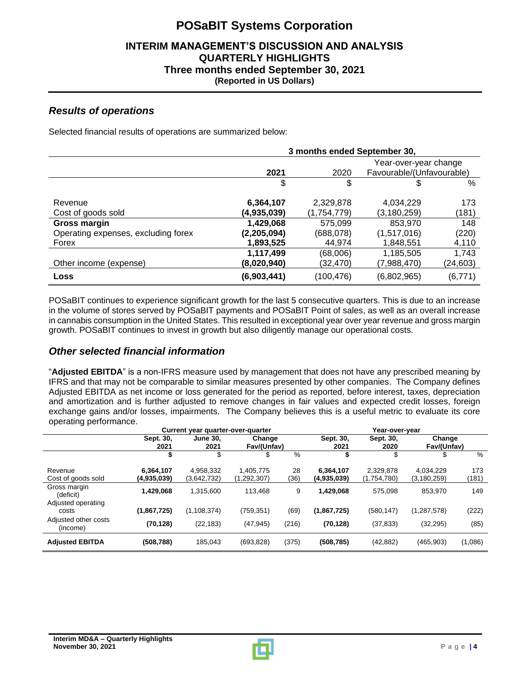#### **INTERIM MANAGEMENT'S DISCUSSION AND ANALYSIS QUARTERLY HIGHLIGHTS Three months ended September 30, 2021 (Reported in US Dollars)**

#### *Results of operations*

Selected financial results of operations are summarized below:

|                                     | 3 months ended September 30, |             |                           |          |
|-------------------------------------|------------------------------|-------------|---------------------------|----------|
|                                     |                              |             | Year-over-year change     |          |
|                                     | 2021                         | 2020        | Favourable/(Unfavourable) |          |
|                                     | \$                           | \$          | S.                        | $\%$     |
| Revenue                             | 6,364,107                    | 2,329,878   | 4,034,229                 | 173      |
| Cost of goods sold                  | (4,935,039)                  | (1,754,779) | (3,180,259)               | (181)    |
| <b>Gross margin</b>                 | 1,429,068                    | 575,099     | 853,970                   | 148      |
| Operating expenses, excluding forex | (2,205,094)                  | (688,078)   | (1,517,016)               | (220)    |
| Forex                               | 1,893,525                    | 44,974      | 1,848,551                 | 4,110    |
|                                     | 1,117,499                    | (68,006)    | 1,185,505                 | 1,743    |
| Other income (expense)              | (8,020,940)                  | (32,470)    | (7,988,470)               | (24,603) |
| Loss                                | (6,903,441)                  | (100,476)   | (6,802,965)               | (6, 771) |

POSaBIT continues to experience significant growth for the last 5 consecutive quarters. This is due to an increase in the volume of stores served by POSaBIT payments and POSaBIT Point of sales, as well as an overall increase in cannabis consumption in the United States. This resulted in exceptional year over year revenue and gross margin growth. POSaBIT continues to invest in growth but also diligently manage our operational costs.

### *Other selected financial information*

"**Adjusted EBITDA**" is a non-IFRS measure used by management that does not have any prescribed meaning by IFRS and that may not be comparable to similar measures presented by other companies. The Company defines Adjusted EBITDA as net income or loss generated for the period as reported, before interest, taxes, depreciation and amortization and is further adjusted to remove changes in fair values and expected credit losses, foreign exchange gains and/or losses, impairments. The Company believes this is a useful metric to evaluate its core operating performance.

|                                  | Current year quarter-over-quarter |                          |                          | Year-over-year |                          |                          |                            |              |
|----------------------------------|-----------------------------------|--------------------------|--------------------------|----------------|--------------------------|--------------------------|----------------------------|--------------|
|                                  | Sept. 30,<br>2021                 | <b>June 30.</b><br>2021  | Change<br>Fav/(Unfav)    |                | Sept. 30,<br>2021        | Sept. 30,<br>2020        | Change<br>Fav/(Unfav)      |              |
|                                  |                                   |                          | S                        | $\%$           |                          |                          |                            | $\%$         |
| Revenue<br>Cost of goods sold    | 6,364,107<br>(4.935.039)          | 4,958,332<br>(3,642,732) | 1,405,775<br>(1,292,307) | 28<br>(36)     | 6,364,107<br>(4,935,039) | 2,329,878<br>(1,754,780) | 4,034,229<br>(3, 180, 259) | 173<br>(181) |
| Gross margin<br>(deficit)        | 1.429.068                         | 1,315,600                | 113.468                  | 9              | 1,429,068                | 575.098                  | 853.970                    | 149          |
| Adjusted operating<br>costs      | (1,867,725)                       | (1, 108, 374)            | (759, 351)               | (69)           | (1,867,725)              | (580, 147)               | (1, 287, 578)              | (222)        |
| Adjusted other costs<br>(income) | (70, 128)                         | (22, 183)                | (47, 945)                | (216)          | (70, 128)                | (37, 833)                | (32, 295)                  | (85)         |
| <b>Adjusted EBITDA</b>           | (508, 788)                        | 185,043                  | (693, 828)               | (375)          | (508, 785)               | (42, 882)                | (465, 903)                 | (1,086)      |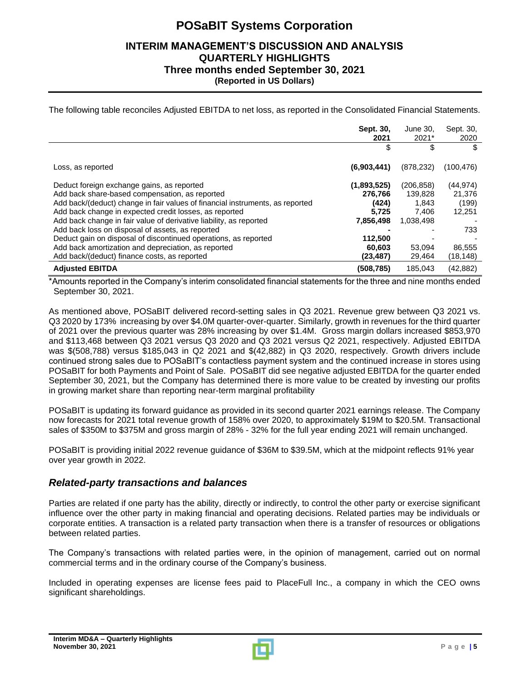#### **INTERIM MANAGEMENT'S DISCUSSION AND ANALYSIS QUARTERLY HIGHLIGHTS Three months ended September 30, 2021 (Reported in US Dollars)**

The following table reconciles Adjusted EBITDA to net loss, as reported in the Consolidated Financial Statements.

|                                                                                                                                                                                                                                                                                                                                                                                                                                      | Sept. 30,<br>2021                                                | June 30,<br>2021*                                    | Sept. 30,<br>2020                             |
|--------------------------------------------------------------------------------------------------------------------------------------------------------------------------------------------------------------------------------------------------------------------------------------------------------------------------------------------------------------------------------------------------------------------------------------|------------------------------------------------------------------|------------------------------------------------------|-----------------------------------------------|
|                                                                                                                                                                                                                                                                                                                                                                                                                                      | \$                                                               | \$                                                   | \$                                            |
| Loss, as reported                                                                                                                                                                                                                                                                                                                                                                                                                    | (6,903,441)                                                      | (878, 232)                                           | (100, 476)                                    |
| Deduct foreign exchange gains, as reported<br>Add back share-based compensation, as reported<br>Add back/(deduct) change in fair values of financial instruments, as reported<br>Add back change in expected credit losses, as reported<br>Add back change in fair value of derivative liability, as reported<br>Add back loss on disposal of assets, as reported<br>Deduct gain on disposal of discontinued operations, as reported | (1,893,525)<br>276.766<br>(424)<br>5.725<br>7,856,498<br>112,500 | (206, 858)<br>139,828<br>1,843<br>7.406<br>1,038,498 | (44, 974)<br>21,376<br>(199)<br>12,251<br>733 |
| Add back amortization and depreciation, as reported<br>Add back/(deduct) finance costs, as reported                                                                                                                                                                                                                                                                                                                                  | 60.603<br>(23, 487)                                              | 53,094<br>29,464                                     | 86,555<br>(18,148)                            |
| <b>Adjusted EBITDA</b>                                                                                                                                                                                                                                                                                                                                                                                                               | (508,785)                                                        | 185,043                                              | (42, 882)                                     |

\*Amounts reported in the Company's interim consolidated financial statements for the three and nine months ended September 30, 2021.

As mentioned above, POSaBIT delivered record-setting sales in Q3 2021. Revenue grew between Q3 2021 vs. Q3 2020 by 173% increasing by over \$4.0M quarter-over-quarter. Similarly, growth in revenues for the third quarter of 2021 over the previous quarter was 28% increasing by over \$1.4M. Gross margin dollars increased \$853,970 and \$113,468 between Q3 2021 versus Q3 2020 and Q3 2021 versus Q2 2021, respectively. Adjusted EBITDA was \$(508,788) versus \$185,043 in Q2 2021 and \$(42,882) in Q3 2020, respectively. Growth drivers include continued strong sales due to POSaBIT's contactless payment system and the continued increase in stores using POSaBIT for both Payments and Point of Sale. POSaBIT did see negative adjusted EBITDA for the quarter ended September 30, 2021, but the Company has determined there is more value to be created by investing our profits in growing market share than reporting near-term marginal profitability

POSaBIT is updating its forward guidance as provided in its second quarter 2021 earnings release. The Company now forecasts for 2021 total revenue growth of 158% over 2020, to approximately \$19M to \$20.5M. Transactional sales of \$350M to \$375M and gross margin of 28% - 32% for the full year ending 2021 will remain unchanged.

POSaBIT is providing initial 2022 revenue guidance of \$36M to \$39.5M, which at the midpoint reflects 91% year over year growth in 2022.

#### *Related-party transactions and balances*

Parties are related if one party has the ability, directly or indirectly, to control the other party or exercise significant influence over the other party in making financial and operating decisions. Related parties may be individuals or corporate entities. A transaction is a related party transaction when there is a transfer of resources or obligations between related parties.

The Company's transactions with related parties were, in the opinion of management, carried out on normal commercial terms and in the ordinary course of the Company's business.

Included in operating expenses are license fees paid to PlaceFull Inc., a company in which the CEO owns significant shareholdings.